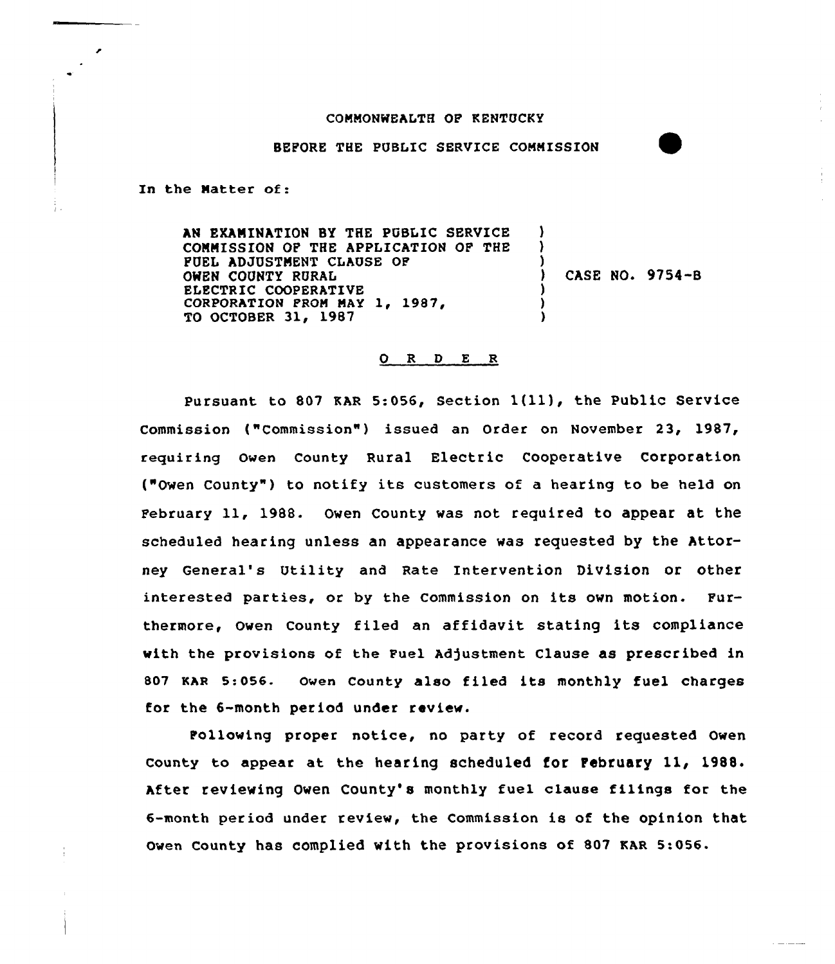## COMMONWEALTH OF KENTUCKY

BEFORE THE PUBLIC SERVICE COMMISSION

In the Natter of:

AN EXAMINATION SY THE PUBLIC SERVICE -1 COMMISSION OF THE APPLICATION OF THE ) FUEL ADJUSTMENT CLAUSE OF OMEN COUNTY RURAL ) ) CASE NO. 9754-B ELECTRIC COOPERATIVE ) CORPORATION FROM MAY 1, 1987, ) TO OCTOBER 31, 1987

## 0 <sup>R</sup> <sup>D</sup> <sup>E</sup> <sup>R</sup>

Pursuant to 807 KAR 5:056, Section  $1(11)$ , the Public Service Commission {"Commission") issued an Order on November 23, 1987, requiring Owen County Rural Electric Cooperative Corporation ("Owen County" ) to notify its customers of <sup>a</sup> hearing to be held on February 11, 1988- Owen County was not required to appear at the scheduled hearing unless an appearance was requested by the Attorney General's Utility and Rate Intervention Division or other interested parties, or by the Commission on its own motion. Furthermore, Owen County filed an affidavit stating its compliance with the provisions of the Fuel Adjustment Clause as prescribed in <sup>807</sup> KAR 5:056. Owen county also filed its monthly fuel charges for the 6-month period under review.

Following proper notice, no party of record requested Owen County to appear at the hearing scheduled for February 11, 1988. After reviewing Owen County's monthly fuel clause filings for the 6-month period under review, the Commission is of the opinion that owen county has complied with the provisions of 807 KAR 5:056.